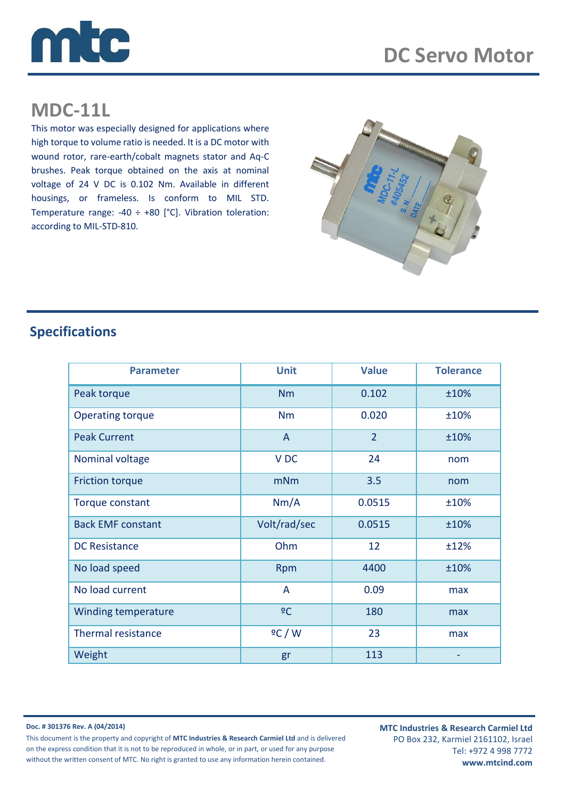

## **MDC-11L**

This motor was especially designed for applications where high torque to volume ratio is needed. It is a DC motor with wound rotor, rare-earth/cobalt magnets stator and Aq-C brushes. Peak torque obtained on the axis at nominal voltage of 24 V DC is 0.102 Nm. Available in different housings, or frameless. Is conform to MIL STD. Temperature range: -40  $\div$  +80 [°C]. Vibration toleration: according to MIL-STD-810.



## **Specifications**

| <b>Parameter</b>          | <b>Unit</b>     | <b>Value</b>   | <b>Tolerance</b> |
|---------------------------|-----------------|----------------|------------------|
| Peak torque               | <b>Nm</b>       | 0.102          | ±10%             |
| <b>Operating torque</b>   | <b>Nm</b>       | 0.020          | ±10%             |
| <b>Peak Current</b>       | A               | $\overline{2}$ | ±10%             |
| Nominal voltage           | V <sub>DC</sub> | 24             | nom              |
| <b>Friction torque</b>    | mNm             | 3.5            | nom              |
| Torque constant           | Nm/A            | 0.0515         | ±10%             |
| <b>Back EMF constant</b>  | Volt/rad/sec    | 0.0515         | ±10%             |
| <b>DC Resistance</b>      | Ohm             | 12             | ±12%             |
| No load speed             | Rpm             | 4400           | ±10%             |
| No load current           | A               | 0.09           | max              |
| Winding temperature       | $\overline{C}$  | 180            | max              |
| <b>Thermal resistance</b> | 2C/W            | 23             | max              |
| Weight                    | gr              | 113            |                  |

**Doc. # 301376 Rev. A (04/2014)**

This document is the property and copyright of **MTC Industries & Research Carmiel Ltd** and is delivered on the express condition that it is not to be reproduced in whole, or in part, or used for any purpose without the written consent of MTC. No right is granted to use any information herein contained.

**MTC Industries & Research Carmiel Ltd** PO Box 232, Karmiel 2161102, Israel Tel: +972 4 998 7772 **www.mtcind.com**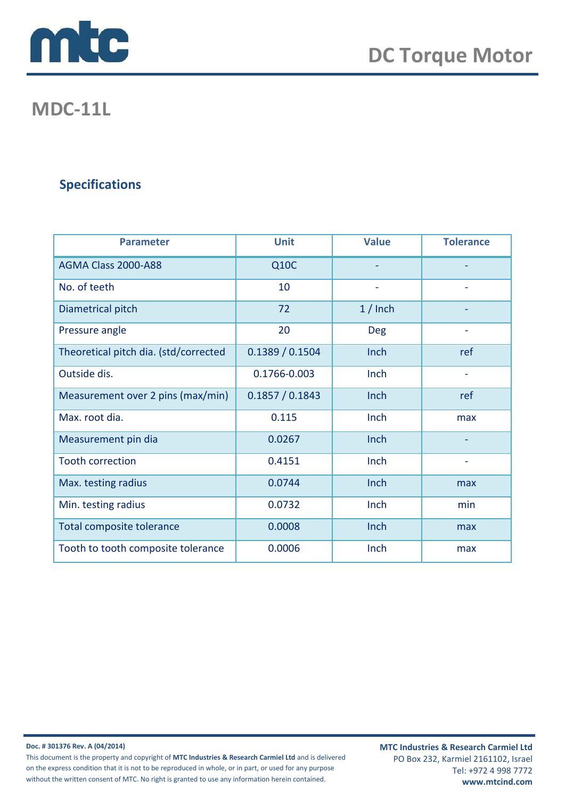

## **MDC-11L**

## **Specifications**

| <b>Parameter</b>                      | <b>Unit</b>     | <b>Value</b>             | <b>Tolerance</b>         |
|---------------------------------------|-----------------|--------------------------|--------------------------|
| AGMA Class 2000-A88                   | <b>Q10C</b>     |                          |                          |
| No. of teeth                          | 10              | $\overline{\phantom{a}}$ |                          |
| Diametrical pitch                     | 72              | $1/$ Inch                |                          |
| Pressure angle                        | 20              | <b>Deg</b>               |                          |
| Theoretical pitch dia. (std/corrected | 0.1389 / 0.1504 | Inch                     | ref                      |
| Outside dis.                          | 0.1766-0.003    | Inch                     | $\overline{\phantom{a}}$ |
| Measurement over 2 pins (max/min)     | 0.1857 / 0.1843 | Inch                     | ref                      |
| Max. root dia.                        | 0.115           | Inch                     | max                      |
| Measurement pin dia                   | 0.0267          | Inch                     |                          |
| <b>Tooth correction</b>               | 0.4151          | Inch                     |                          |
| Max. testing radius                   | 0.0744          | Inch                     | max                      |
| Min. testing radius                   | 0.0732          | Inch                     | min                      |
| Total composite tolerance             | 0.0008          | Inch                     | max                      |
| Tooth to tooth composite tolerance    | 0.0006          | Inch                     | max                      |

**Doc. # 301376 Rev. A (04/2014)**

This document is the property and copyright of **MTC Industries & Research Carmiel Ltd** and is delivered on the express condition that it is not to be reproduced in whole, or in part, or used for any purpose without the written consent of MTC. No right is granted to use any information herein contained.

**MTC Industries & Research Carmiel Ltd** PO Box 232, Karmiel 2161102, Israel Tel: +972 4 998 7772 **www.mtcind.com**